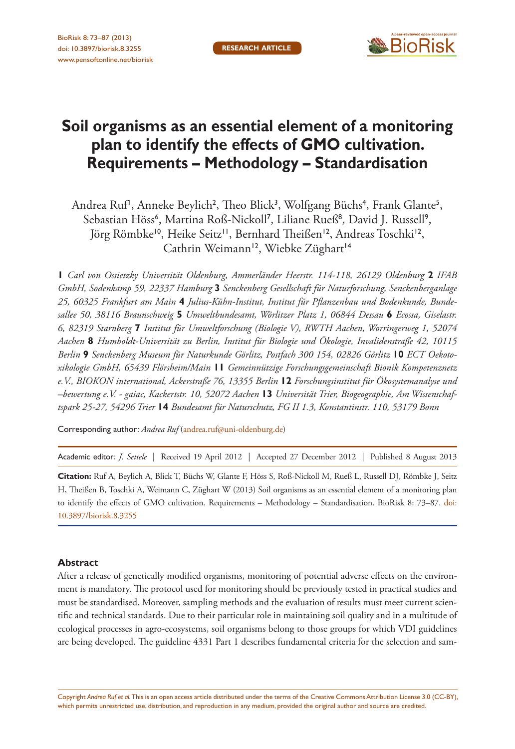

# **Soil organisms as an essential element of a monitoring plan to identify the effects of GMO cultivation. Requirements – Methodology – Standardisation**

Andrea Ruf<sup>1</sup>, Anneke Beylich<sup>2</sup>, Theo Blick<sup>3</sup>, Wolfgang Büchs<sup>4</sup>, Frank Glante<sup>5</sup>, Sebastian Höss<sup>6</sup>, Martina Roß-Nickoll<sup>7</sup>, Liliane Rueß<sup>8</sup>, David J. Russell<sup>9</sup>, Jörg Römbke<sup>10</sup>, Heike Seitz<sup>11</sup>, Bernhard Theißen<sup>12</sup>, Andreas Toschki<sup>12</sup>, Cathrin Weimann<sup>12</sup>, Wiebke Züghart<sup>14</sup>

**1** *Carl von Ossietzky Universität Oldenburg, Ammerländer Heerstr. 114-118, 26129 Oldenburg* **2** *IFAB GmbH, Sodenkamp 59, 22337 Hamburg* **3** *Senckenberg Gesellschaft für Naturforschung, Senckenberganlage 25, 60325 Frankfurt am Main* **4** *Julius-Kühn-Institut, Institut für Pflanzenbau und Bodenkunde, Bundesallee 50, 38116 Braunschweig* **5** *Umweltbundesamt, Wörlitzer Platz 1, 06844 Dessau* **6** *Ecossa, Giselastr. 6, 82319 Starnberg* **7** *Institut für Umweltforschung (Biologie V), RWTH Aachen, Worringerweg 1, 52074 Aachen* **8** *Humboldt-Universität zu Berlin, Institut für Biologie und Ökologie, Invalidenstraße 42, 10115 Berlin* **9** *Senckenberg Museum für Naturkunde Görlitz, Postfach 300 154, 02826 Görlitz* **10** *ECT Oekotoxikologie GmbH, 65439 Flörsheim/Main* **11** *Gemeinnützige Forschungsgemeinschaft Bionik Kompetenznetz e.V., BIOKON international, Ackerstraße 76, 13355 Berlin* **12** *Forschungsinstitut für Ökosystemanalyse und –bewertung e.V. - gaiac, Kackertstr. 10, 52072 Aachen* **13** *Universität Trier, Biogeographie, Am Wissenschaftspark 25-27, 54296 Trier* **14** *Bundesamt für Naturschutz, FG II 1.3, Konstantinstr. 110, 53179 Bonn*

Corresponding author: *Andrea Ruf* [\(andrea.ruf@uni-oldenburg.de](mailto:andrea.ruf@uni-oldenburg.de))

Academic editor: *J. Settele* | Received 19 April 2012 | Accepted 27 December 2012 | Published 8 August 2013

**Citation:** Ruf A, Beylich A, Blick T, Büchs W, Glante F, Höss S, Roß-Nickoll M, Rueß L, Russell DJ, Römbke J, Seitz H, Theißen B, Toschki A, Weimann C, Züghart W (2013) Soil organisms as an essential element of a monitoring plan to identify the effects of GMO cultivation. Requirements – Methodology – Standardisation. BioRisk 8: 73–87. [doi:](http://dx.doi.org/10.3897/biorisk.8.3255) [10.3897/biorisk.8.3255](http://dx.doi.org/10.3897/biorisk.8.3255)

### **Abstract**

After a release of genetically modified organisms, monitoring of potential adverse effects on the environment is mandatory. The protocol used for monitoring should be previously tested in practical studies and must be standardised. Moreover, sampling methods and the evaluation of results must meet current scientific and technical standards. Due to their particular role in maintaining soil quality and in a multitude of ecological processes in agro-ecosystems, soil organisms belong to those groups for which VDI guidelines are being developed. The guideline 4331 Part 1 describes fundamental criteria for the selection and sam-

Copyright *Andrea Ruf et al.* This is an open access article distributed under the terms of the [Creative Commons Attribution License 3.0 \(CC-BY\)](http://creativecommons.org/licenses/by/3.0/), which permits unrestricted use, distribution, and reproduction in any medium, provided the original author and source are credited.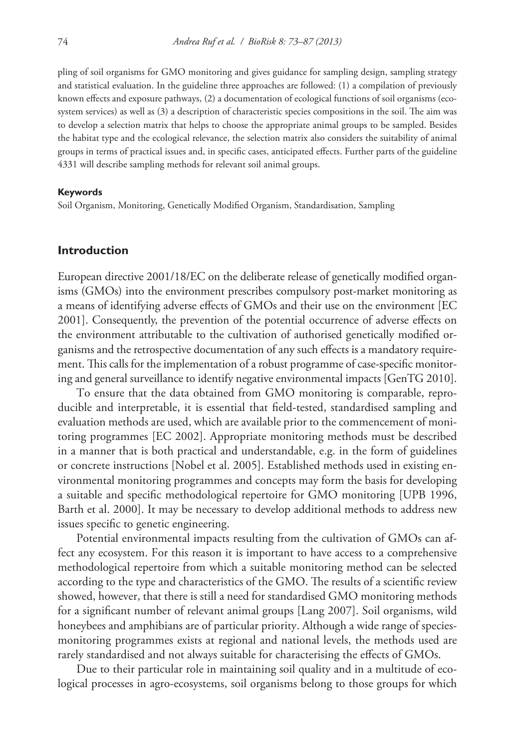pling of soil organisms for GMO monitoring and gives guidance for sampling design, sampling strategy and statistical evaluation. In the guideline three approaches are followed: (1) a compilation of previously known effects and exposure pathways, (2) a documentation of ecological functions of soil organisms (ecosystem services) as well as (3) a description of characteristic species compositions in the soil. The aim was to develop a selection matrix that helps to choose the appropriate animal groups to be sampled. Besides the habitat type and the ecological relevance, the selection matrix also considers the suitability of animal groups in terms of practical issues and, in specific cases, anticipated effects. Further parts of the guideline 4331 will describe sampling methods for relevant soil animal groups.

#### **Keywords**

Soil Organism, Monitoring, Genetically Modified Organism, Standardisation, Sampling

### **Introduction**

European directive 2001/18/EC on the deliberate release of genetically modified organisms (GMOs) into the environment prescribes compulsory post-market monitoring as a means of identifying adverse effects of GMOs and their use on the environment [EC 2001]. Consequently, the prevention of the potential occurrence of adverse effects on the environment attributable to the cultivation of authorised genetically modified organisms and the retrospective documentation of any such effects is a mandatory requirement. This calls for the implementation of a robust programme of case-specific monitoring and general surveillance to identify negative environmental impacts [GenTG 2010].

To ensure that the data obtained from GMO monitoring is comparable, reproducible and interpretable, it is essential that field-tested, standardised sampling and evaluation methods are used, which are available prior to the commencement of monitoring programmes [EC 2002]. Appropriate monitoring methods must be described in a manner that is both practical and understandable, e.g. in the form of guidelines or concrete instructions [Nobel et al. 2005]. Established methods used in existing environmental monitoring programmes and concepts may form the basis for developing a suitable and specific methodological repertoire for GMO monitoring [UPB 1996, Barth et al. 2000]. It may be necessary to develop additional methods to address new issues specific to genetic engineering.

Potential environmental impacts resulting from the cultivation of GMOs can affect any ecosystem. For this reason it is important to have access to a comprehensive methodological repertoire from which a suitable monitoring method can be selected according to the type and characteristics of the GMO. The results of a scientific review showed, however, that there is still a need for standardised GMO monitoring methods for a significant number of relevant animal groups [Lang 2007]. Soil organisms, wild honeybees and amphibians are of particular priority. Although a wide range of speciesmonitoring programmes exists at regional and national levels, the methods used are rarely standardised and not always suitable for characterising the effects of GMOs.

Due to their particular role in maintaining soil quality and in a multitude of ecological processes in agro-ecosystems, soil organisms belong to those groups for which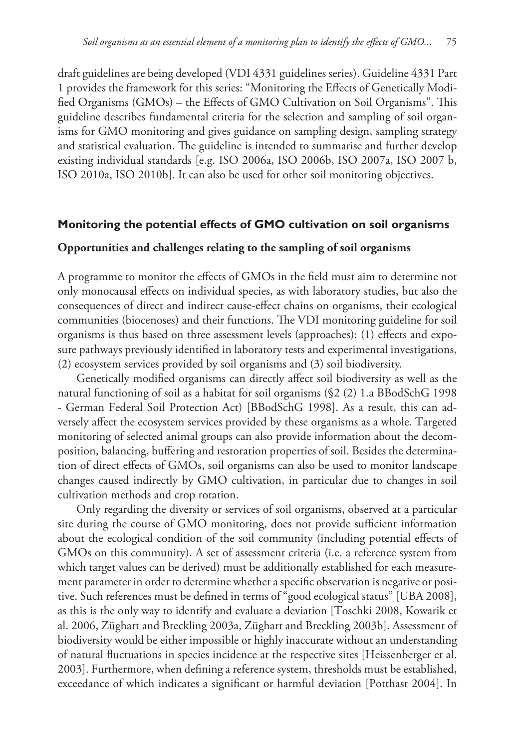draft guidelines are being developed (VDI 4331 guidelines series). Guideline 4331 Part 1 provides the framework for this series: "Monitoring the Effects of Genetically Modified Organisms (GMOs) – the Effects of GMO Cultivation on Soil Organisms". This guideline describes fundamental criteria for the selection and sampling of soil organisms for GMO monitoring and gives guidance on sampling design, sampling strategy and statistical evaluation. The guideline is intended to summarise and further develop existing individual standards [e.g. ISO 2006a, ISO 2006b, ISO 2007a, ISO 2007 b, ISO 2010a, ISO 2010b]. It can also be used for other soil monitoring objectives.

### **Monitoring the potential effects of GMO cultivation on soil organisms**

### **Opportunities and challenges relating to the sampling of soil organisms**

A programme to monitor the effects of GMOs in the field must aim to determine not only monocausal effects on individual species, as with laboratory studies, but also the consequences of direct and indirect cause-effect chains on organisms, their ecological communities (biocenoses) and their functions. The VDI monitoring guideline for soil organisms is thus based on three assessment levels (approaches): (1) effects and exposure pathways previously identified in laboratory tests and experimental investigations, (2) ecosystem services provided by soil organisms and (3) soil biodiversity.

Genetically modified organisms can directly affect soil biodiversity as well as the natural functioning of soil as a habitat for soil organisms (§2 (2) 1.a BBodSchG 1998 - German Federal Soil Protection Act) [BBodSchG 1998]. As a result, this can adversely affect the ecosystem services provided by these organisms as a whole. Targeted monitoring of selected animal groups can also provide information about the decomposition, balancing, buffering and restoration properties of soil. Besides the determination of direct effects of GMOs, soil organisms can also be used to monitor landscape changes caused indirectly by GMO cultivation, in particular due to changes in soil cultivation methods and crop rotation.

Only regarding the diversity or services of soil organisms, observed at a particular site during the course of GMO monitoring, does not provide sufficient information about the ecological condition of the soil community (including potential effects of GMOs on this community). A set of assessment criteria (i.e. a reference system from which target values can be derived) must be additionally established for each measurement parameter in order to determine whether a specific observation is negative or positive. Such references must be defined in terms of "good ecological status" [UBA 2008], as this is the only way to identify and evaluate a deviation [Toschki 2008, Kowarik et al. 2006, Züghart and Breckling 2003a, Züghart and Breckling 2003b]. Assessment of biodiversity would be either impossible or highly inaccurate without an understanding of natural fluctuations in species incidence at the respective sites [Heissenberger et al. 2003]. Furthermore, when defining a reference system, thresholds must be established, exceedance of which indicates a significant or harmful deviation [Potthast 2004]. In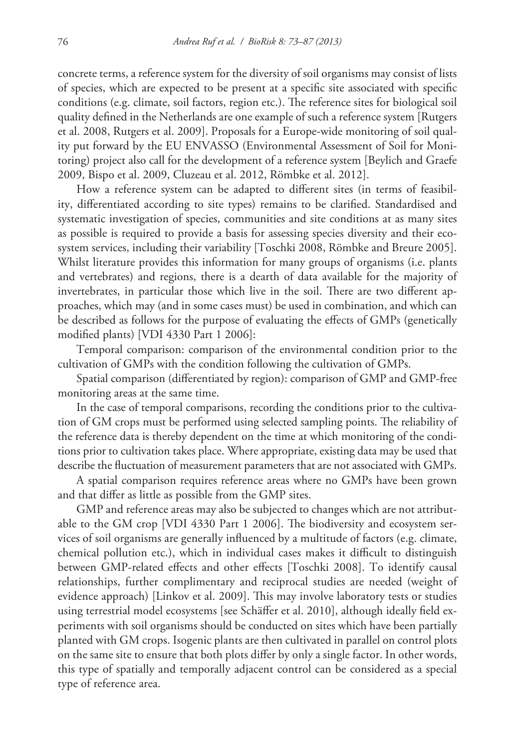concrete terms, a reference system for the diversity of soil organisms may consist of lists of species, which are expected to be present at a specific site associated with specific conditions (e.g. climate, soil factors, region etc.). The reference sites for biological soil quality defined in the Netherlands are one example of such a reference system [Rutgers et al. 2008, Rutgers et al. 2009]. Proposals for a Europe-wide monitoring of soil quality put forward by the EU ENVASSO (Environmental Assessment of Soil for Monitoring) project also call for the development of a reference system [Beylich and Graefe 2009, Bispo et al. 2009, Cluzeau et al. 2012, Römbke et al. 2012].

How a reference system can be adapted to different sites (in terms of feasibility, differentiated according to site types) remains to be clarified. Standardised and systematic investigation of species, communities and site conditions at as many sites as possible is required to provide a basis for assessing species diversity and their ecosystem services, including their variability [Toschki 2008, Römbke and Breure 2005]. Whilst literature provides this information for many groups of organisms (i.e. plants and vertebrates) and regions, there is a dearth of data available for the majority of invertebrates, in particular those which live in the soil. There are two different approaches, which may (and in some cases must) be used in combination, and which can be described as follows for the purpose of evaluating the effects of GMPs (genetically modified plants) [VDI 4330 Part 1 2006]:

Temporal comparison: comparison of the environmental condition prior to the cultivation of GMPs with the condition following the cultivation of GMPs.

Spatial comparison (differentiated by region): comparison of GMP and GMP-free monitoring areas at the same time.

In the case of temporal comparisons, recording the conditions prior to the cultivation of GM crops must be performed using selected sampling points. The reliability of the reference data is thereby dependent on the time at which monitoring of the conditions prior to cultivation takes place. Where appropriate, existing data may be used that describe the fluctuation of measurement parameters that are not associated with GMPs.

A spatial comparison requires reference areas where no GMPs have been grown and that differ as little as possible from the GMP sites.

GMP and reference areas may also be subjected to changes which are not attributable to the GM crop [VDI 4330 Part 1 2006]. The biodiversity and ecosystem services of soil organisms are generally influenced by a multitude of factors (e.g. climate, chemical pollution etc.), which in individual cases makes it difficult to distinguish between GMP-related effects and other effects [Toschki 2008]. To identify causal relationships, further complimentary and reciprocal studies are needed (weight of evidence approach) [Linkov et al. 2009]. This may involve laboratory tests or studies using terrestrial model ecosystems [see Schäffer et al. 2010], although ideally field experiments with soil organisms should be conducted on sites which have been partially planted with GM crops. Isogenic plants are then cultivated in parallel on control plots on the same site to ensure that both plots differ by only a single factor. In other words, this type of spatially and temporally adjacent control can be considered as a special type of reference area.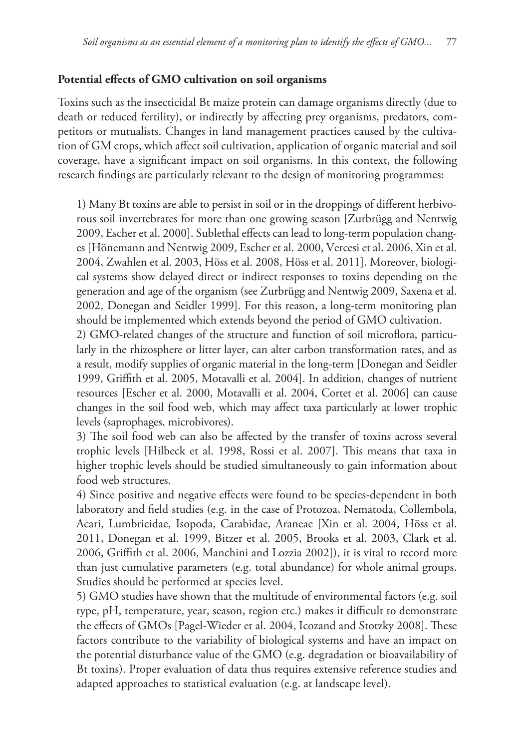## **Potential effects of GMO cultivation on soil organisms**

Toxins such as the insecticidal Bt maize protein can damage organisms directly (due to death or reduced fertility), or indirectly by affecting prey organisms, predators, competitors or mutualists. Changes in land management practices caused by the cultivation of GM crops, which affect soil cultivation, application of organic material and soil coverage, have a significant impact on soil organisms. In this context, the following research findings are particularly relevant to the design of monitoring programmes:

1) Many Bt toxins are able to persist in soil or in the droppings of different herbivorous soil invertebrates for more than one growing season [Zurbrügg and Nentwig 2009, Escher et al. 2000]. Sublethal effects can lead to long-term population changes [Hönemann and Nentwig 2009, Escher et al. 2000, Vercesi et al. 2006, Xin et al. 2004, Zwahlen et al. 2003, Höss et al. 2008, Höss et al. 2011]. Moreover, biological systems show delayed direct or indirect responses to toxins depending on the generation and age of the organism (see Zurbrügg and Nentwig 2009, Saxena et al. 2002, Donegan and Seidler 1999]. For this reason, a long-term monitoring plan should be implemented which extends beyond the period of GMO cultivation.

2) GMO-related changes of the structure and function of soil microflora, particularly in the rhizosphere or litter layer, can alter carbon transformation rates, and as a result, modify supplies of organic material in the long-term [Donegan and Seidler 1999, Griffith et al. 2005, Motavalli et al. 2004]. In addition, changes of nutrient resources [Escher et al. 2000, Motavalli et al. 2004, Cortet et al. 2006] can cause changes in the soil food web, which may affect taxa particularly at lower trophic levels (saprophages, microbivores).

3) The soil food web can also be affected by the transfer of toxins across several trophic levels [Hilbeck et al. 1998, Rossi et al. 2007]. This means that taxa in higher trophic levels should be studied simultaneously to gain information about food web structures.

4) Since positive and negative effects were found to be species-dependent in both laboratory and field studies (e.g. in the case of Protozoa, Nematoda, Collembola, Acari, Lumbricidae, Isopoda, Carabidae, Araneae [Xin et al. 2004, Höss et al. 2011, Donegan et al. 1999, Bitzer et al. 2005, Brooks et al. 2003, Clark et al. 2006, Griffith et al. 2006, Manchini and Lozzia 2002]), it is vital to record more than just cumulative parameters (e.g. total abundance) for whole animal groups. Studies should be performed at species level.

5) GMO studies have shown that the multitude of environmental factors (e.g. soil type, pH, temperature, year, season, region etc.) makes it difficult to demonstrate the effects of GMOs [Pagel-Wieder et al. 2004, Icozand and Stotzky 2008]. These factors contribute to the variability of biological systems and have an impact on the potential disturbance value of the GMO (e.g. degradation or bioavailability of Bt toxins). Proper evaluation of data thus requires extensive reference studies and adapted approaches to statistical evaluation (e.g. at landscape level).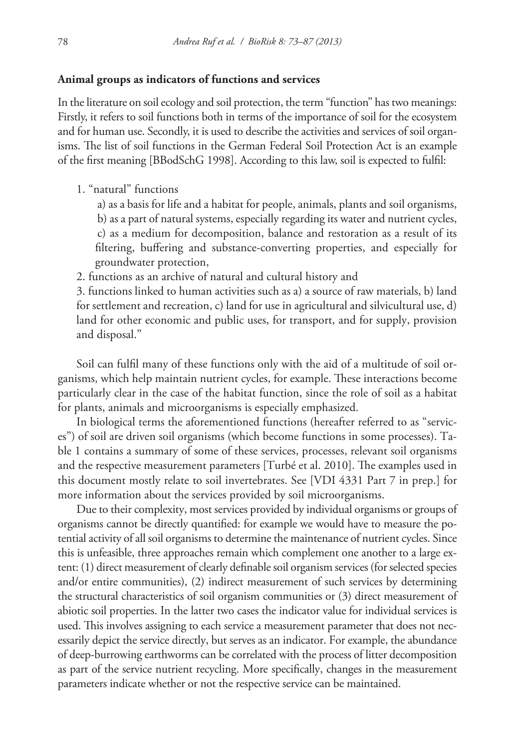### **Animal groups as indicators of functions and services**

In the literature on soil ecology and soil protection, the term "function" has two meanings: Firstly, it refers to soil functions both in terms of the importance of soil for the ecosystem and for human use. Secondly, it is used to describe the activities and services of soil organisms. The list of soil functions in the German Federal Soil Protection Act is an example of the first meaning [BBodSchG 1998]. According to this law, soil is expected to fulfil:

- 1. "natural" functions
	- a) as a basis for life and a habitat for people, animals, plants and soil organisms,
	- b) as a part of natural systems, especially regarding its water and nutrient cycles, c) as a medium for decomposition, balance and restoration as a result of its filtering, buffering and substance-converting properties, and especially for groundwater protection,
- 2. functions as an archive of natural and cultural history and

3. functions linked to human activities such as a) a source of raw materials, b) land for settlement and recreation, c) land for use in agricultural and silvicultural use, d) land for other economic and public uses, for transport, and for supply, provision and disposal."

Soil can fulfil many of these functions only with the aid of a multitude of soil organisms, which help maintain nutrient cycles, for example. These interactions become particularly clear in the case of the habitat function, since the role of soil as a habitat for plants, animals and microorganisms is especially emphasized.

In biological terms the aforementioned functions (hereafter referred to as "services") of soil are driven soil organisms (which become functions in some processes). Table 1 contains a summary of some of these services, processes, relevant soil organisms and the respective measurement parameters [Turbé et al. 2010]. The examples used in this document mostly relate to soil invertebrates. See [VDI 4331 Part 7 in prep.] for more information about the services provided by soil microorganisms.

Due to their complexity, most services provided by individual organisms or groups of organisms cannot be directly quantified: for example we would have to measure the potential activity of all soil organisms to determine the maintenance of nutrient cycles. Since this is unfeasible, three approaches remain which complement one another to a large extent: (1) direct measurement of clearly definable soil organism services (for selected species and/or entire communities), (2) indirect measurement of such services by determining the structural characteristics of soil organism communities or (3) direct measurement of abiotic soil properties. In the latter two cases the indicator value for individual services is used. This involves assigning to each service a measurement parameter that does not necessarily depict the service directly, but serves as an indicator. For example, the abundance of deep-burrowing earthworms can be correlated with the process of litter decomposition as part of the service nutrient recycling. More specifically, changes in the measurement parameters indicate whether or not the respective service can be maintained.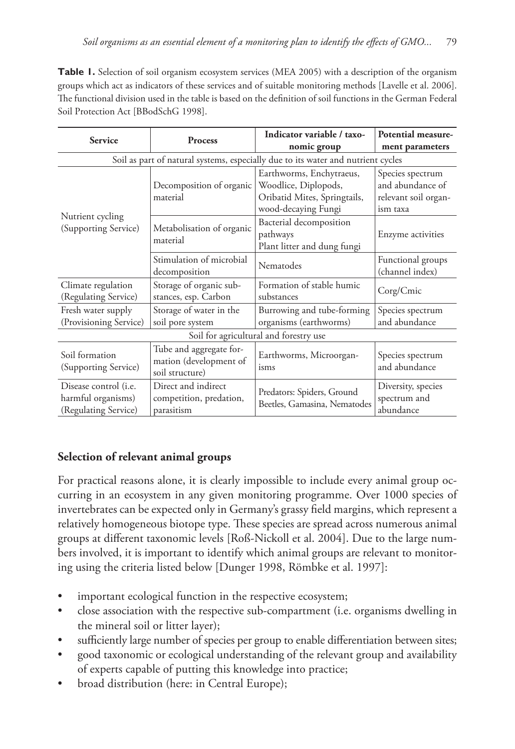**Table 1.** Selection of soil organism ecosystem services (MEA 2005) with a description of the organism groups which act as indicators of these services and of suitable monitoring methods [Lavelle et al. 2006]. The functional division used in the table is based on the definition of soil functions in the German Federal Soil Protection Act [BBodSchG 1998].

| <b>Service</b>                                                                   | <b>Process</b>                                                       | Indicator variable / taxo-                                                                              | Potential measure-                                                       |  |  |  |  |  |  |  |
|----------------------------------------------------------------------------------|----------------------------------------------------------------------|---------------------------------------------------------------------------------------------------------|--------------------------------------------------------------------------|--|--|--|--|--|--|--|
|                                                                                  |                                                                      | nomic group                                                                                             | ment parameters                                                          |  |  |  |  |  |  |  |
| Soil as part of natural systems, especially due to its water and nutrient cycles |                                                                      |                                                                                                         |                                                                          |  |  |  |  |  |  |  |
|                                                                                  | Decomposition of organic<br>material                                 | Earthworms, Enchytraeus,<br>Woodlice, Diplopods,<br>Oribatid Mites, Springtails,<br>wood-decaying Fungi | Species spectrum<br>and abundance of<br>relevant soil organ-<br>ism taxa |  |  |  |  |  |  |  |
| Nutrient cycling<br>(Supporting Service)                                         | Metabolisation of organic<br>material                                | Bacterial decomposition<br>pathways<br>Plant litter and dung fungi                                      | Enzyme activities                                                        |  |  |  |  |  |  |  |
|                                                                                  | Stimulation of microbial<br>decomposition                            | Nematodes                                                                                               | Functional groups<br>(channel index)                                     |  |  |  |  |  |  |  |
| Climate regulation<br>(Regulating Service)                                       | Storage of organic sub-<br>stances, esp. Carbon                      | Formation of stable humic<br>substances                                                                 | Corg/Cmic                                                                |  |  |  |  |  |  |  |
| Fresh water supply<br>(Provisioning Service)                                     | Storage of water in the<br>soil pore system                          | Burrowing and tube-forming<br>organisms (earthworms)                                                    | Species spectrum<br>and abundance                                        |  |  |  |  |  |  |  |
| Soil for agricultural and forestry use                                           |                                                                      |                                                                                                         |                                                                          |  |  |  |  |  |  |  |
| Soil formation<br>(Supporting Service)                                           | Tube and aggregate for-<br>mation (development of<br>soil structure) | Earthworms, Microorgan-<br>isms                                                                         | Species spectrum<br>and abundance                                        |  |  |  |  |  |  |  |
| Disease control ( <i>i.e.</i><br>harmful organisms)<br>(Regulating Service)      | Direct and indirect<br>competition, predation,<br>parasitism         | Predators: Spiders, Ground<br>Beetles, Gamasina, Nematodes                                              | Diversity, species<br>spectrum and<br>abundance                          |  |  |  |  |  |  |  |

### **Selection of relevant animal groups**

For practical reasons alone, it is clearly impossible to include every animal group occurring in an ecosystem in any given monitoring programme. Over 1000 species of invertebrates can be expected only in Germany's grassy field margins, which represent a relatively homogeneous biotope type. These species are spread across numerous animal groups at different taxonomic levels [Roß-Nickoll et al. 2004]. Due to the large numbers involved, it is important to identify which animal groups are relevant to monitoring using the criteria listed below [Dunger 1998, Römbke et al. 1997]:

- important ecological function in the respective ecosystem;
- close association with the respective sub-compartment (i.e. organisms dwelling in the mineral soil or litter layer);
- sufficiently large number of species per group to enable differentiation between sites;
- good taxonomic or ecological understanding of the relevant group and availability of experts capable of putting this knowledge into practice;
- broad distribution (here: in Central Europe);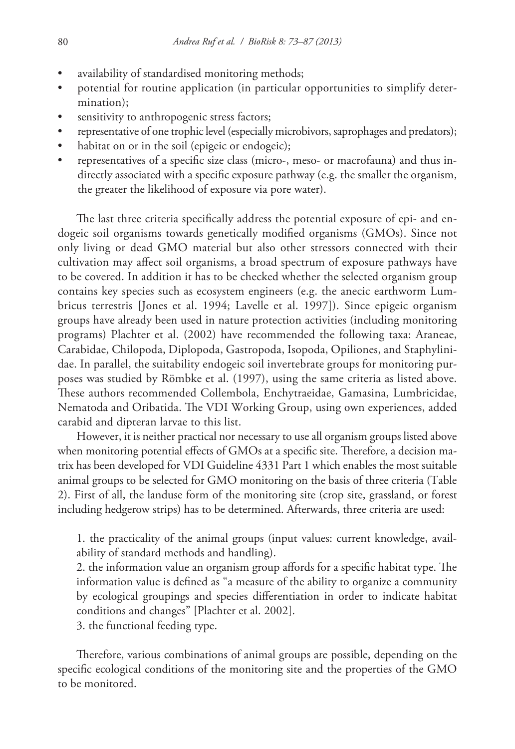- availability of standardised monitoring methods;
- potential for routine application (in particular opportunities to simplify determination);
- sensitivity to anthropogenic stress factors;
- representative of one trophic level (especially microbivors, saprophages and predators);
- habitat on or in the soil (epigeic or endogeic);
- representatives of a specific size class (micro-, meso- or macrofauna) and thus indirectly associated with a specific exposure pathway (e.g. the smaller the organism, the greater the likelihood of exposure via pore water).

The last three criteria specifically address the potential exposure of epi- and endogeic soil organisms towards genetically modified organisms (GMOs). Since not only living or dead GMO material but also other stressors connected with their cultivation may affect soil organisms, a broad spectrum of exposure pathways have to be covered. In addition it has to be checked whether the selected organism group contains key species such as ecosystem engineers (e.g. the anecic earthworm Lumbricus terrestris [Jones et al. 1994; Lavelle et al. 1997]). Since epigeic organism groups have already been used in nature protection activities (including monitoring programs) Plachter et al. (2002) have recommended the following taxa: Araneae, Carabidae, Chilopoda, Diplopoda, Gastropoda, Isopoda, Opiliones, and Staphylinidae. In parallel, the suitability endogeic soil invertebrate groups for monitoring purposes was studied by Römbke et al. (1997), using the same criteria as listed above. These authors recommended Collembola, Enchytraeidae, Gamasina, Lumbricidae, Nematoda and Oribatida. The VDI Working Group, using own experiences, added carabid and dipteran larvae to this list.

However, it is neither practical nor necessary to use all organism groups listed above when monitoring potential effects of GMOs at a specific site. Therefore, a decision matrix has been developed for VDI Guideline 4331 Part 1 which enables the most suitable animal groups to be selected for GMO monitoring on the basis of three criteria (Table 2). First of all, the landuse form of the monitoring site (crop site, grassland, or forest including hedgerow strips) has to be determined. Afterwards, three criteria are used:

1. the practicality of the animal groups (input values: current knowledge, availability of standard methods and handling).

2. the information value an organism group affords for a specific habitat type. The information value is defined as "a measure of the ability to organize a community by ecological groupings and species differentiation in order to indicate habitat conditions and changes" [Plachter et al. 2002].

3. the functional feeding type.

Therefore, various combinations of animal groups are possible, depending on the specific ecological conditions of the monitoring site and the properties of the GMO to be monitored.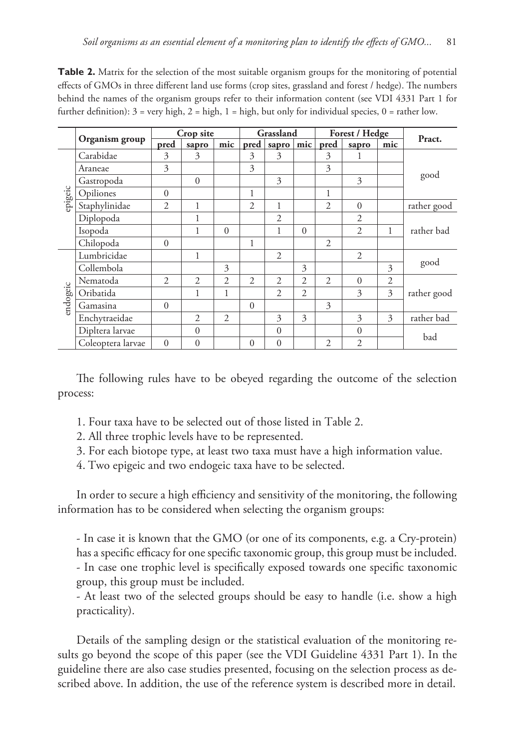Table 2. Matrix for the selection of the most suitable organism groups for the monitoring of potential effects of GMOs in three different land use forms (crop sites, grassland and forest / hedge). The numbers behind the names of the organism groups refer to their information content (see VDI 4331 Part 1 for further definition):  $3 = \text{very high}$ ,  $2 = \text{high}$ ,  $1 = \text{high}$ , but only for individual species,  $0 = \text{rather low}$ .

|          |                   | Crop site      |                | Grassland      |                | Forest / Hedge |                |                |                |                |             |
|----------|-------------------|----------------|----------------|----------------|----------------|----------------|----------------|----------------|----------------|----------------|-------------|
|          | Organism group    | pred           | sapro          | mic            | pred           | sapro          | mic            | pred           | sapro          | mic            | Pract.      |
| epigeic  | Carabidae         | 3              | 3              |                | 3              | 3              |                | 3              |                |                | good        |
|          | Araneae           | 3              |                |                | 3              |                |                | 3              |                |                |             |
|          | Gastropoda        |                | $\mathbf{0}$   |                |                | 3              |                |                | 3              |                |             |
|          | Opiliones         | $\theta$       |                |                | 1              |                |                | 1              |                |                |             |
|          | Staphylinidae     | $\overline{2}$ | 1              |                | $\overline{2}$ | 1              |                | 2              | $\Omega$       |                | rather good |
|          | Diplopoda         |                |                |                |                | $\overline{2}$ |                |                | $\overline{2}$ |                | rather bad  |
|          | Isopoda           |                | 1              | $\Omega$       |                | 1              | $\mathbf{0}$   |                | $\overline{2}$ | 1              |             |
|          | Chilopoda         | $\Omega$       |                |                | 1              |                |                | $\overline{2}$ |                |                |             |
| endogeic | Lumbricidae       |                | 1              |                |                | $\overline{2}$ |                |                | $\overline{2}$ |                | good        |
|          | Collembola        |                |                | 3              |                |                | 3              |                |                | 3              |             |
|          | Nematoda          | $\overline{2}$ | $\overline{2}$ | $\overline{2}$ | $\overline{2}$ | $\overline{2}$ | $\overline{c}$ | 2              | $\theta$       | $\overline{2}$ | rather good |
|          | Oribatida         |                | 1              | 1              |                | $\overline{2}$ | 2              |                | 3              | 3              |             |
|          | Gamasina          | $\Omega$       |                |                | $\Omega$       |                |                | 3              |                |                |             |
|          | Enchytraeidae     |                | $\overline{2}$ | $\overline{2}$ |                | 3              | 3              |                | 3              | 3              | rather bad  |
|          | Dipltera larvae   |                | $\Omega$       |                |                | $\Omega$       |                |                | $\overline{0}$ |                | bad         |
|          | Coleoptera larvae | $\theta$       | $\overline{0}$ |                | $\Omega$       | $\Omega$       |                | $\overline{c}$ | $\overline{2}$ |                |             |

The following rules have to be obeyed regarding the outcome of the selection process:

- 1. Four taxa have to be selected out of those listed in Table 2.
- 2. All three trophic levels have to be represented.
- 3. For each biotope type, at least two taxa must have a high information value.
- 4. Two epigeic and two endogeic taxa have to be selected.

In order to secure a high efficiency and sensitivity of the monitoring, the following information has to be considered when selecting the organism groups:

- In case it is known that the GMO (or one of its components, e.g. a Cry-protein) has a specific efficacy for one specific taxonomic group, this group must be included. - In case one trophic level is specifically exposed towards one specific taxonomic group, this group must be included.

- At least two of the selected groups should be easy to handle (i.e. show a high practicality).

Details of the sampling design or the statistical evaluation of the monitoring results go beyond the scope of this paper (see the VDI Guideline 4331 Part 1). In the guideline there are also case studies presented, focusing on the selection process as described above. In addition, the use of the reference system is described more in detail.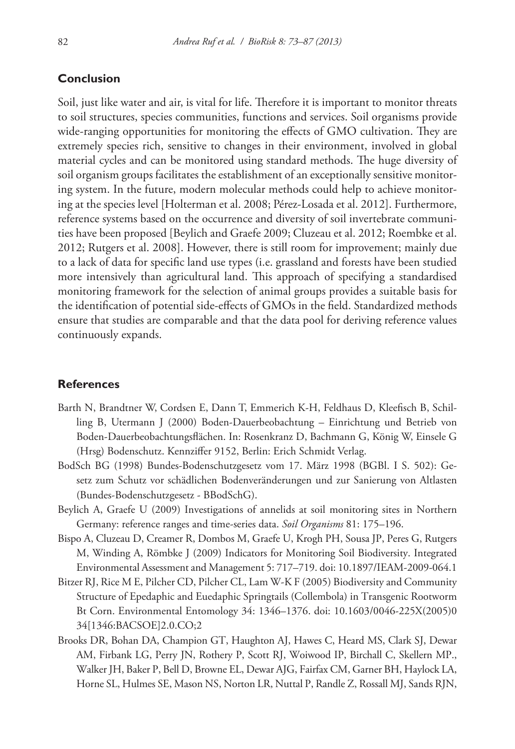### **Conclusion**

Soil, just like water and air, is vital for life. Therefore it is important to monitor threats to soil structures, species communities, functions and services. Soil organisms provide wide-ranging opportunities for monitoring the effects of GMO cultivation. They are extremely species rich, sensitive to changes in their environment, involved in global material cycles and can be monitored using standard methods. The huge diversity of soil organism groups facilitates the establishment of an exceptionally sensitive monitoring system. In the future, modern molecular methods could help to achieve monitoring at the species level [Holterman et al. 2008; Pérez-Losada et al. 2012]. Furthermore, reference systems based on the occurrence and diversity of soil invertebrate communities have been proposed [Beylich and Graefe 2009; Cluzeau et al. 2012; Roembke et al. 2012; Rutgers et al. 2008]. However, there is still room for improvement; mainly due to a lack of data for specific land use types (i.e. grassland and forests have been studied more intensively than agricultural land. This approach of specifying a standardised monitoring framework for the selection of animal groups provides a suitable basis for the identification of potential side-effects of GMOs in the field. Standardized methods ensure that studies are comparable and that the data pool for deriving reference values continuously expands.

### **References**

- Barth N, Brandtner W, Cordsen E, Dann T, Emmerich K-H, Feldhaus D, Kleefisch B, Schilling B, Utermann J (2000) Boden-Dauerbeobachtung – Einrichtung und Betrieb von Boden-Dauerbeobachtungsflächen. In: Rosenkranz D, Bachmann G, König W, Einsele G (Hrsg) Bodenschutz. Kennziffer 9152, Berlin: Erich Schmidt Verlag.
- BodSch BG (1998) Bundes-Bodenschutzgesetz vom 17. März 1998 (BGBl. I S. 502): Gesetz zum Schutz vor schädlichen Bodenveränderungen und zur Sanierung von Altlasten (Bundes-Bodenschutzgesetz - BBodSchG).
- Beylich A, Graefe U (2009) Investigations of annelids at soil monitoring sites in Northern Germany: reference ranges and time-series data. *Soil Organisms* 81: 175–196.
- Bispo A, Cluzeau D, Creamer R, Dombos M, Graefe U, Krogh PH, Sousa JP, Peres G, Rutgers M, Winding A, Römbke J (2009) Indicators for Monitoring Soil Biodiversity. Integrated Environmental Assessment and Management 5: 717–719. [doi: 10.1897/IEAM-2009-064.1](http://dx.doi.org/10.1897/IEAM-2009-064.1)
- Bitzer RJ, Rice M E, Pilcher CD, Pilcher CL, Lam W-K F (2005) Biodiversity and Community Structure of Epedaphic and Euedaphic Springtails (Collembola) in Transgenic Rootworm Bt Corn. Environmental Entomology 34: 1346–1376. [doi: 10.1603/0046-225X\(2005\)0](http://dx.doi.org/10.1603/0046-225X(2005)034[1346:BACSOE]2.0.CO;2) [34\[1346:BACSOE\]2.0.CO;2](http://dx.doi.org/10.1603/0046-225X(2005)034[1346:BACSOE]2.0.CO;2)
- Brooks DR, Bohan DA, Champion GT, Haughton AJ, Hawes C, Heard MS, Clark SJ, Dewar AM, Firbank LG, Perry JN, Rothery P, Scott RJ, Woiwood IP, Birchall C, Skellern MP., Walker JH, Baker P, Bell D, Browne EL, Dewar AJG, Fairfax CM, Garner BH, Haylock LA, Horne SL, Hulmes SE, Mason NS, Norton LR, Nuttal P, Randle Z, Rossall MJ, Sands RJN,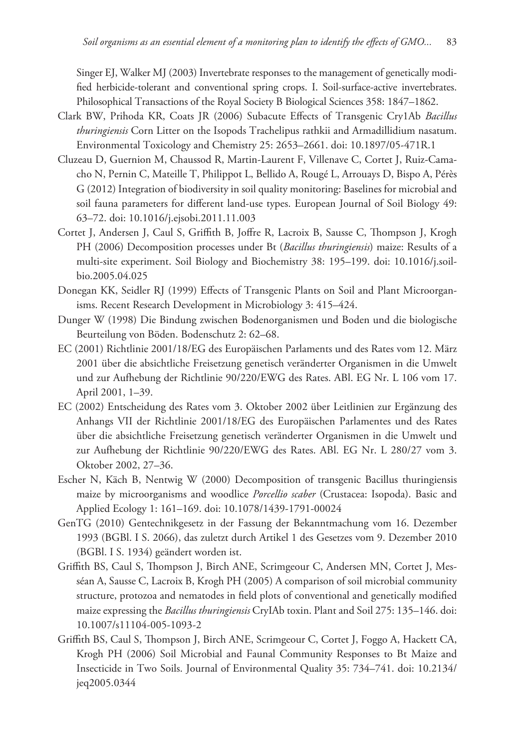Singer EJ, Walker MJ (2003) Invertebrate responses to the management of genetically modified herbicide-tolerant and conventional spring crops. I. Soil-surface-active invertebrates. Philosophical Transactions of the Royal Society B Biological Sciences 358: 1847–1862.

- Clark BW, Prihoda KR, Coats JR (2006) Subacute Effects of Transgenic Cry1Ab *Bacillus thuringiensis* Corn Litter on the Isopods Trachelipus rathkii and Armadillidium nasatum. Environmental Toxicology and Chemistry 25: 2653–2661. [doi: 10.1897/05-471R.1](http://dx.doi.org/10.1897/05-471R.1)
- Cluzeau D, Guernion M, Chaussod R, Martin-Laurent F, Villenave C, Cortet J, Ruiz-Camacho N, Pernin C, Mateille T, Philippot L, Bellido A, Rougé L, Arrouays D, Bispo A, Pérès G (2012) Integration of biodiversity in soil quality monitoring: Baselines for microbial and soil fauna parameters for different land-use types. European Journal of Soil Biology 49: 63–72. [doi: 10.1016/j.ejsobi.2011.11.003](http://dx.doi.org/10.1016/j.ejsobi.2011.11.003)
- Cortet J, Andersen J, Caul S, Griffith B, Joffre R, Lacroix B, Sausse C, Thompson J, Krogh PH (2006) Decomposition processes under Bt (*Bacillus thuringiensis*) maize: Results of a multi-site experiment. Soil Biology and Biochemistry 38: 195–199. [doi: 10.1016/j.soil](http://dx.doi.org/10.1016/j.soilbio.2005.04.025)[bio.2005.04.025](http://dx.doi.org/10.1016/j.soilbio.2005.04.025)
- Donegan KK, Seidler RJ (1999) Effects of Transgenic Plants on Soil and Plant Microorganisms. Recent Research Development in Microbiology 3: 415–424.
- Dunger W (1998) Die Bindung zwischen Bodenorganismen und Boden und die biologische Beurteilung von Böden. Bodenschutz 2: 62–68.
- EC (2001) Richtlinie 2001/18/EG des Europäischen Parlaments und des Rates vom 12. März 2001 über die absichtliche Freisetzung genetisch veränderter Organismen in die Umwelt und zur Aufhebung der Richtlinie 90/220/EWG des Rates. ABl. EG Nr. L 106 vom 17. April 2001, 1–39.
- EC (2002) Entscheidung des Rates vom 3. Oktober 2002 über Leitlinien zur Ergänzung des Anhangs VII der Richtlinie 2001/18/EG des Europäischen Parlamentes und des Rates über die absichtliche Freisetzung genetisch veränderter Organismen in die Umwelt und zur Aufhebung der Richtlinie 90/220/EWG des Rates. ABl. EG Nr. L 280/27 vom 3. Oktober 2002, 27–36.
- Escher N, Käch B, Nentwig W (2000) Decomposition of transgenic Bacillus thuringiensis maize by microorganisms and woodlice *Porcellio scaber* (Crustacea: Isopoda). Basic and Applied Ecology 1: 161–169. [doi: 10.1078/1439-1791-00024](http://dx.doi.org/10.1078/1439-1791-00024)
- GenTG (2010) Gentechnikgesetz in der Fassung der Bekanntmachung vom 16. Dezember 1993 (BGBl. I S. 2066), das zuletzt durch Artikel 1 des Gesetzes vom 9. Dezember 2010 (BGBl. I S. 1934) geändert worden ist.
- Griffith BS, Caul S, Thompson J, Birch ANE, Scrimgeour C, Andersen MN, Cortet J, Messéan A, Sausse C, Lacroix B, Krogh PH (2005) A comparison of soil microbial community structure, protozoa and nematodes in field plots of conventional and genetically modified maize expressing the *Bacillus thuringiensis* CryIAb toxin. Plant and Soil 275: 135–146. [doi:](http://dx.doi.org/10.1007/s11104-005-1093-2) [10.1007/s11104-005-1093-2](http://dx.doi.org/10.1007/s11104-005-1093-2)
- Griffith BS, Caul S, Thompson J, Birch ANE, Scrimgeour C, Cortet J, Foggo A, Hackett CA, Krogh PH (2006) Soil Microbial and Faunal Community Responses to Bt Maize and Insecticide in Two Soils. Journal of Environmental Quality 35: 734–741. [doi: 10.2134/](http://dx.doi.org/10.2134/jeq2005.0344) [jeq2005.0344](http://dx.doi.org/10.2134/jeq2005.0344)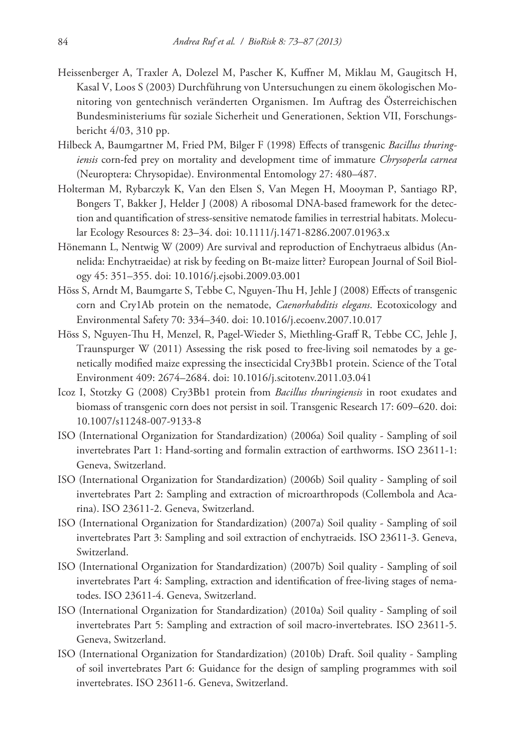- Heissenberger A, Traxler A, Dolezel M, Pascher K, Kuffner M, Miklau M, Gaugitsch H, Kasal V, Loos S (2003) Durchführung von Untersuchungen zu einem ökologischen Monitoring von gentechnisch veränderten Organismen. Im Auftrag des Österreichischen Bundesministeriums für soziale Sicherheit und Generationen, Sektion VII, Forschungsbericht 4/03, 310 pp.
- Hilbeck A, Baumgartner M, Fried PM, Bilger F (1998) Effects of transgenic *Bacillus thuringiensis* corn-fed prey on mortality and development time of immature *Chrysoperla carnea* (Neuroptera: Chrysopidae). Environmental Entomology 27: 480–487.
- Holterman M, Rybarczyk K, Van den Elsen S, Van Megen H, Mooyman P, Santiago RP, Bongers T, Bakker J, Helder J (2008) A ribosomal DNA-based framework for the detection and quantification of stress-sensitive nematode families in terrestrial habitats. Molecular Ecology Resources 8: 23–34. [doi: 10.1111/j.1471-8286.2007.01963.x](http://dx.doi.org/10.1111/j.1471-8286.2007.01963.x)
- Hönemann L, Nentwig W (2009) Are survival and reproduction of Enchytraeus albidus (Annelida: Enchytraeidae) at risk by feeding on Bt-maize litter? European Journal of Soil Biology 45: 351–355. [doi: 10.1016/j.ejsobi.2009.03.001](http://dx.doi.org/10.1016/j.ejsobi.2009.03.001)
- Höss S, Arndt M, Baumgarte S, Tebbe C, Nguyen-Thu H, Jehle J (2008) Effects of transgenic corn and Cry1Ab protein on the nematode, *Caenorhabditis elegans*. Ecotoxicology and Environmental Safety 70: 334–340. [doi: 10.1016/j.ecoenv.2007.10.017](http://dx.doi.org/10.1016/j.ecoenv.2007.10.017)
- Höss S, Nguyen-Thu H, Menzel, R, Pagel-Wieder S, Miethling-Graff R, Tebbe CC, Jehle J, Traunspurger W (2011) Assessing the risk posed to free-living soil nematodes by a genetically modified maize expressing the insecticidal Cry3Bb1 protein. Science of the Total Environment 409: 2674–2684. [doi: 10.1016/j.scitotenv.2011.03.041](http://dx.doi.org/10.1016/j.scitotenv.2011.03.041)
- Icoz I, Stotzky G (2008) Cry3Bb1 protein from *Bacillus thuringiensis* in root exudates and biomass of transgenic corn does not persist in soil. Transgenic Research 17: 609–620. [doi:](http://dx.doi.org/10.1007/s11248-007-9133-8) [10.1007/s11248-007-9133-8](http://dx.doi.org/10.1007/s11248-007-9133-8)
- ISO (International Organization for Standardization) (2006a) Soil quality Sampling of soil invertebrates Part 1: Hand-sorting and formalin extraction of earthworms. ISO 23611-1: Geneva, Switzerland.
- ISO (International Organization for Standardization) (2006b) Soil quality Sampling of soil invertebrates Part 2: Sampling and extraction of microarthropods (Collembola and Acarina). ISO 23611-2. Geneva, Switzerland.
- ISO (International Organization for Standardization) (2007a) Soil quality Sampling of soil invertebrates Part 3: Sampling and soil extraction of enchytraeids. ISO 23611-3. Geneva, Switzerland.
- ISO (International Organization for Standardization) (2007b) Soil quality Sampling of soil invertebrates Part 4: Sampling, extraction and identification of free-living stages of nematodes. ISO 23611-4. Geneva, Switzerland.
- ISO (International Organization for Standardization) (2010a) Soil quality Sampling of soil invertebrates Part 5: Sampling and extraction of soil macro-invertebrates. ISO 23611-5. Geneva, Switzerland.
- ISO (International Organization for Standardization) (2010b) Draft. Soil quality Sampling of soil invertebrates Part 6: Guidance for the design of sampling programmes with soil invertebrates. ISO 23611-6. Geneva, Switzerland.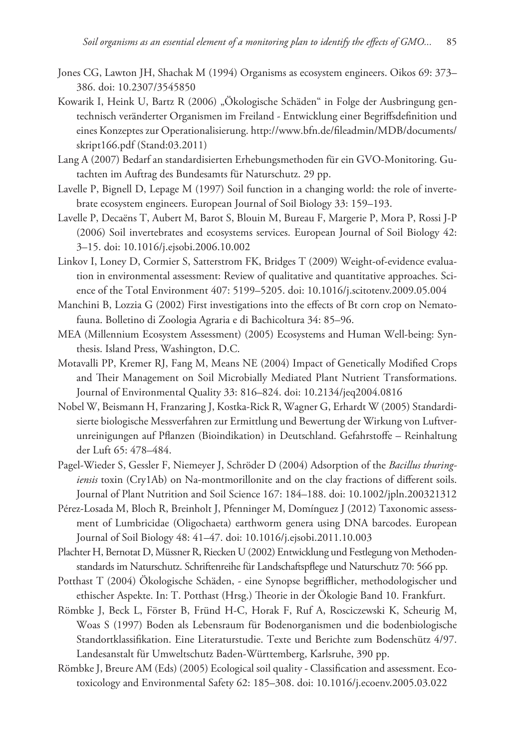- Jones CG, Lawton JH, Shachak M (1994) Organisms as ecosystem engineers. Oikos 69: 373– 386. [doi: 10.2307/3545850](http://dx.doi.org/10.2307/3545850)
- Kowarik I, Heink U, Bartz R (2006) "Ökologische Schäden" in Folge der Ausbringung gentechnisch veränderter Organismen im Freiland - Entwicklung einer Begriffsdefinition und eines Konzeptes zur Operationalisierung. [http://www.bfn.de/fileadmin/MDB/documents/](http://www.bfn.de/fileadmin/MDB/documents/skript166.pdf) [skript166.pdf](http://www.bfn.de/fileadmin/MDB/documents/skript166.pdf) (Stand:03.2011)
- Lang A (2007) Bedarf an standardisierten Erhebungsmethoden für ein GVO-Monitoring. Gutachten im Auftrag des Bundesamts für Naturschutz. 29 pp.
- Lavelle P, Bignell D, Lepage M (1997) Soil function in a changing world: the role of invertebrate ecosystem engineers. European Journal of Soil Biology 33: 159–193.
- Lavelle P, Decaëns T, Aubert M, Barot S, Blouin M, Bureau F, Margerie P, Mora P, Rossi J-P (2006) Soil invertebrates and ecosystems services. European Journal of Soil Biology 42: 3–15. [doi: 10.1016/j.ejsobi.2006.10.002](http://dx.doi.org/10.1016/j.ejsobi.2006.10.002)
- Linkov I, Loney D, Cormier S, Satterstrom FK, Bridges T (2009) Weight-of-evidence evaluation in environmental assessment: Review of qualitative and quantitative approaches. Science of the Total Environment 407: 5199–5205. [doi: 10.1016/j.scitotenv.2009.05.004](http://dx.doi.org/10.1016/j.scitotenv.2009.05.004)
- Manchini B, Lozzia G (2002) First investigations into the effects of Bt corn crop on Nematofauna. Bolletino di Zoologia Agraria e di Bachicoltura 34: 85–96.
- MEA (Millennium Ecosystem Assessment) (2005) Ecosystems and Human Well-being: Synthesis. Island Press, Washington, D.C.
- Motavalli PP, Kremer RJ, Fang M, Means NE (2004) Impact of Genetically Modified Crops and Their Management on Soil Microbially Mediated Plant Nutrient Transformations. Journal of Environmental Quality 33: 816–824. [doi: 10.2134/jeq2004.0816](http://dx.doi.org/10.2134/jeq2004.0816)
- Nobel W, Beismann H, Franzaring J, Kostka-Rick R, Wagner G, Erhardt W (2005) Standardisierte biologische Messverfahren zur Ermittlung und Bewertung der Wirkung von Luftverunreinigungen auf Pflanzen (Bioindikation) in Deutschland. Gefahrstoffe – Reinhaltung der Luft 65: 478–484.
- Pagel-Wieder S, Gessler F, Niemeyer J, Schröder D (2004) Adsorption of the *Bacillus thuringiensis* toxin (Cry1Ab) on Na-montmorillonite and on the clay fractions of different soils. Journal of Plant Nutrition and Soil Science 167: 184–188. [doi: 10.1002/jpln.200321312](http://dx.doi.org/10.1002/jpln.200321312)
- Pérez-Losada M, Bloch R, Breinholt J, Pfenninger M, Domínguez J (2012) Taxonomic assessment of Lumbricidae (Oligochaeta) earthworm genera using DNA barcodes. European Journal of Soil Biology 48: 41–47. [doi: 10.1016/j.ejsobi.2011.10.003](http://dx.doi.org/10.1016/j.ejsobi.2011.10.003)
- Plachter H, Bernotat D, Müssner R, Riecken U (2002) Entwicklung und Festlegung von Methodenstandards im Naturschutz. Schriftenreihe für Landschaftspflege und Naturschutz 70: 566 pp.
- Potthast T (2004) Ökologische Schäden, eine Synopse begrifflicher, methodologischer und ethischer Aspekte. In: T. Potthast (Hrsg.) Theorie in der Ökologie Band 10. Frankfurt.
- Römbke J, Beck L, Förster B, Fründ H-C, Horak F, Ruf A, Rosciczewski K, Scheurig M, Woas S (1997) Boden als Lebensraum für Bodenorganismen und die bodenbiologische Standortklassifikation. Eine Literaturstudie. Texte und Berichte zum Bodenschütz 4/97. Landesanstalt für Umweltschutz Baden-Württemberg, Karlsruhe, 390 pp.
- Römbke J, Breure AM (Eds) (2005) Ecological soil quality Classification and assessment. Ecotoxicology and Environmental Safety 62: 185–308. [doi: 10.1016/j.ecoenv.2005.03.022](http://dx.doi.org/10.1016/j.ecoenv.2005.03.022)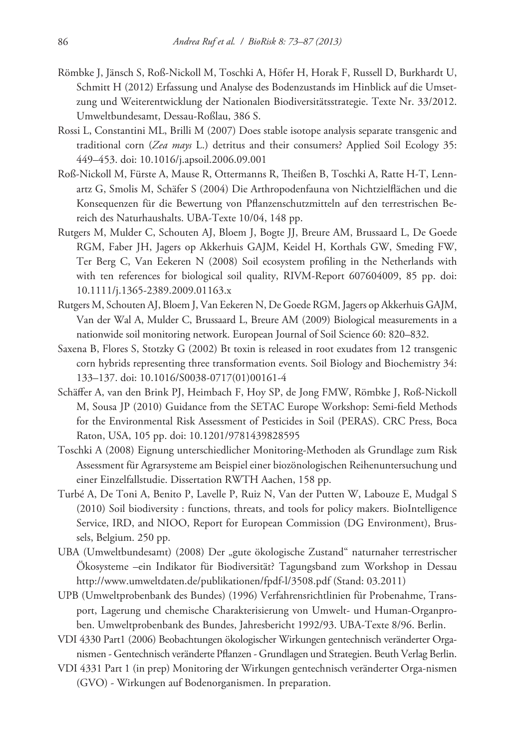- Römbke J, Jänsch S, Roß-Nickoll M, Toschki A, Höfer H, Horak F, Russell D, Burkhardt U, Schmitt H (2012) Erfassung und Analyse des Bodenzustands im Hinblick auf die Umsetzung und Weiterentwicklung der Nationalen Biodiversitätsstrategie. Texte Nr. 33/2012. Umweltbundesamt, Dessau-Roßlau, 386 S.
- Rossi L, Constantini ML, Brilli M (2007) Does stable isotope analysis separate transgenic and traditional corn (*Zea mays* L.) detritus and their consumers? Applied Soil Ecology 35: 449–453. [doi: 10.1016/j.apsoil.2006.09.001](http://dx.doi.org/10.1016/j.apsoil.2006.09.001)
- Roß-Nickoll M, Fürste A, Mause R, Ottermanns R, Theißen B, Toschki A, Ratte H-T, Lennartz G, Smolis M, Schäfer S (2004) Die Arthropodenfauna von Nichtzielflächen und die Konsequenzen für die Bewertung von Pflanzenschutzmitteln auf den terrestrischen Bereich des Naturhaushalts. UBA-Texte 10/04, 148 pp.
- Rutgers M, Mulder C, Schouten AJ, Bloem J, Bogte JJ, Breure AM, Brussaard L, De Goede RGM, Faber JH, Jagers op Akkerhuis GAJM, Keidel H, Korthals GW, Smeding FW, Ter Berg C, Van Eekeren N (2008) Soil ecosystem profiling in the Netherlands with with ten references for biological soil quality, RIVM-Report 607604009, 85 pp. [doi:](http://dx.doi.org/10.1111/j.1365-2389.2009.01163.x) [10.1111/j.1365-2389.2009.01163.x](http://dx.doi.org/10.1111/j.1365-2389.2009.01163.x)
- Rutgers M, Schouten AJ, Bloem J, Van Eekeren N, De Goede RGM, Jagers op Akkerhuis GAJM, Van der Wal A, Mulder C, Brussaard L, Breure AM (2009) Biological measurements in a nationwide soil monitoring network. European Journal of Soil Science 60: 820–832.
- Saxena B, Flores S, Stotzky G (2002) Bt toxin is released in root exudates from 12 transgenic corn hybrids representing three transformation events. Soil Biology and Biochemistry 34: 133–137. [doi: 10.1016/S0038-0717\(01\)00161-4](http://dx.doi.org/10.1016/S0038-0717(01)00161-4)
- Schäffer A, van den Brink PJ, Heimbach F, Hoy SP, de Jong FMW, Römbke J, Roß-Nickoll M, Sousa JP (2010) Guidance from the SETAC Europe Workshop: Semi-field Methods for the Environmental Risk Assessment of Pesticides in Soil (PERAS). CRC Press, Boca Raton, USA, 105 pp. [doi: 10.1201/9781439828595](http://dx.doi.org/10.1201/9781439828595)
- Toschki A (2008) Eignung unterschiedlicher Monitoring-Methoden als Grundlage zum Risk Assessment für Agrarsysteme am Beispiel einer biozönologischen Reihenuntersuchung und einer Einzelfallstudie. Dissertation RWTH Aachen, 158 pp.
- Turbé A, De Toni A, Benito P, Lavelle P, Ruiz N, Van der Putten W, Labouze E, Mudgal S (2010) Soil biodiversity : functions, threats, and tools for policy makers. BioIntelligence Service, IRD, and NIOO, Report for European Commission (DG Environment), Brussels, Belgium. 250 pp.
- UBA (Umweltbundesamt) (2008) Der "gute ökologische Zustand" naturnaher terrestrischer Ökosysteme –ein Indikator für Biodiversität? Tagungsband zum Workshop in Dessau <http://www.umweltdaten.de/publikationen/fpdf-l/3508.pdf> (Stand: 03.2011)
- UPB (Umweltprobenbank des Bundes) (1996) Verfahrensrichtlinien für Probenahme, Transport, Lagerung und chemische Charakterisierung von Umwelt- und Human-Organproben. Umweltprobenbank des Bundes, Jahresbericht 1992/93. UBA-Texte 8/96. Berlin.
- VDI 4330 Part1 (2006) Beobachtungen ökologischer Wirkungen gentechnisch veränderter Organismen - Gentechnisch veränderte Pflanzen - Grundlagen und Strategien. Beuth Verlag Berlin.
- VDI 4331 Part 1 (in prep) Monitoring der Wirkungen gentechnisch veränderter Orga-nismen (GVO) - Wirkungen auf Bodenorganismen. In preparation.